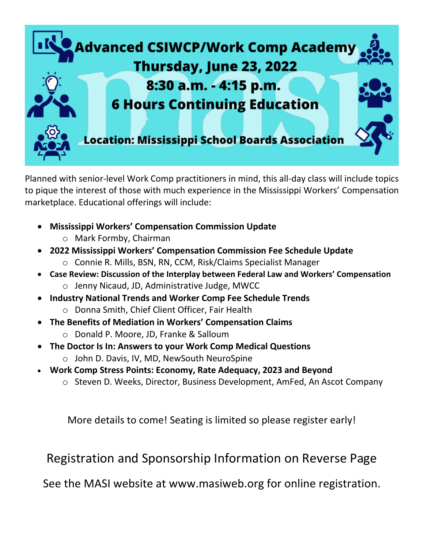

Planned with senior-level Work Comp practitioners in mind, this all-day class will include topics to pique the interest of those with much experience in the Mississippi Workers' Compensation marketplace. Educational offerings will include:

- **Mississippi Workers' Compensation Commission Update**
	- o Mark Formby, Chairman
- **2022 Mississippi Workers' Compensation Commission Fee Schedule Update** o Connie R. Mills, BSN, RN, CCM, Risk/Claims Specialist Manager
- **Case Review: Discussion of the Interplay between Federal Law and Workers' Compensation** o Jenny Nicaud, JD, Administrative Judge, MWCC
- **Industry National Trends and Worker Comp Fee Schedule Trends** o Donna Smith, Chief Client Officer, Fair Health
- **The Benefits of Mediation in Workers' Compensation Claims**
	- o Donald P. Moore, JD, Franke & Salloum
- **The Doctor Is In: Answers to your Work Comp Medical Questions**
	- o John D. Davis, IV, MD, NewSouth NeuroSpine
- **Work Comp Stress Points: Economy, Rate Adequacy, 2023 and Beyond**
	- o Steven D. Weeks, Director, Business Development, AmFed, An Ascot Company

More details to come! Seating is limited so please register early!

Registration and Sponsorship Information on Reverse Page

See the MASI website at [www.masiweb.org](http://www.masiweb.org/) for online registration.